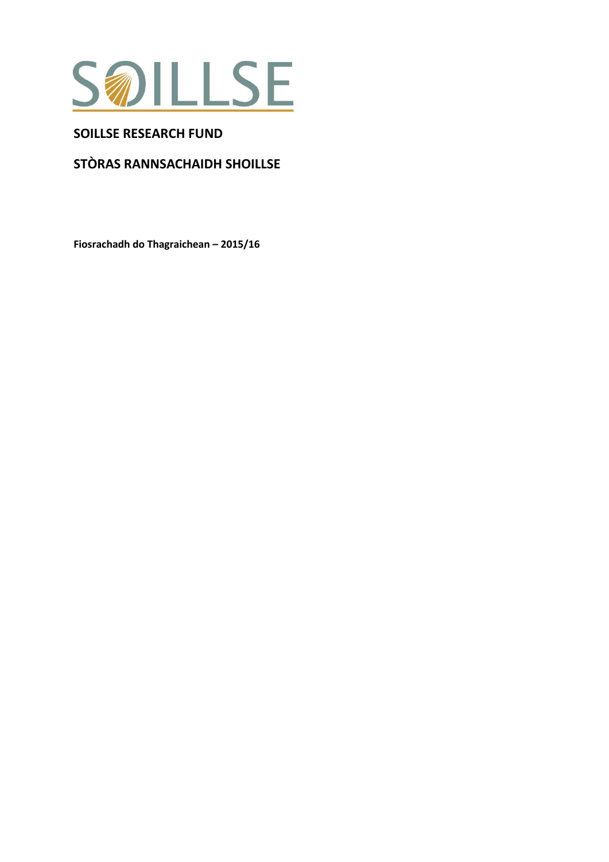

# **SOILLSE RESEARCH FUND**

# **STÒRAS RANNSACHAIDH SHOILLSE**

**Fiosrachadh do Thagraichean – 2015/16**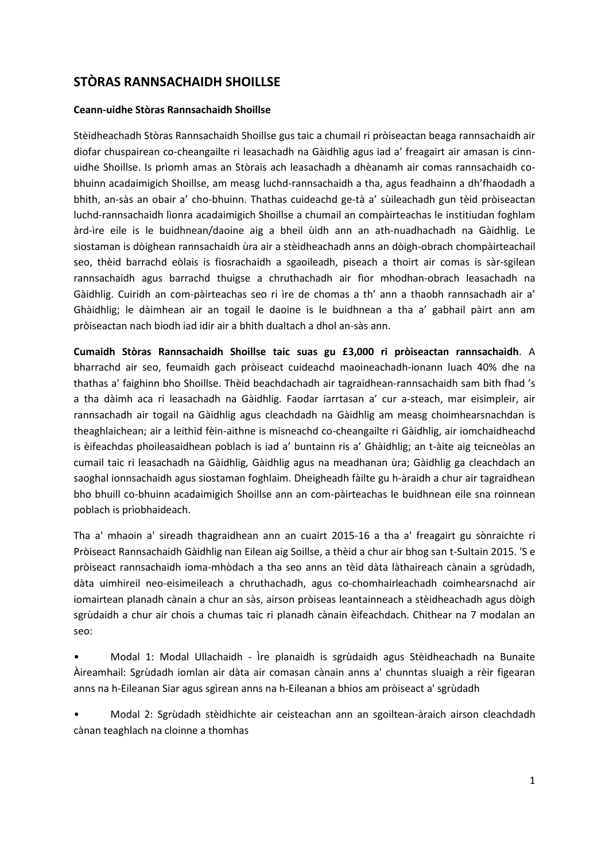# **STÒRAS RANNSACHAIDH SHOILLSE**

### **Ceann-uidhe Stòras Rannsachaidh Shoillse**

Stèidheachadh Stòras Rannsachaidh Shoillse gus taic a chumail ri pròiseactan beaga rannsachaidh air diofar chuspairean co-cheangailte ri leasachadh na Gàidhlig agus iad a' freagairt air amasan is cinnuidhe Shoillse. Is prìomh amas an Stòrais ach leasachadh a dhèanamh air comas rannsachaidh cobhuinn acadaimigich Shoillse, am measg luchd-rannsachaidh a tha, agus feadhainn a dh'fhaodadh a bhith, an-sàs an obair a' cho-bhuinn. Thathas cuideachd ge-tà a' sùileachadh gun tèid pròiseactan luchd-rannsachaidh lìonra acadaimigich Shoillse a chumail an compàirteachas le institiudan foghlam àrd-ìre eile is le buidhnean/daoine aig a bheil ùidh ann an ath-nuadhachadh na Gàidhlig. Le siostaman is dòighean rannsachaidh ùra air a stèidheachadh anns an dòigh-obrach chompàirteachail seo, thèid barrachd eòlais is fiosrachaidh a sgaoileadh, piseach a thoirt air comas is sàr-sgilean rannsachaidh agus barrachd thuigse a chruthachadh air fìor mhodhan-obrach leasachadh na Gàidhlig. Cuiridh an com-pàirteachas seo ri ìre de chomas a th' ann a thaobh rannsachadh air a' Ghàidhlig; le dàimhean air an togail le daoine is le buidhnean a tha a' gabhail pàirt ann am pròiseactan nach biodh iad idir air a bhith dualtach a dhol an-sàs ann.

**Cumaidh Stòras Rannsachaidh Shoillse taic suas gu £3,000 ri pròiseactan rannsachaidh**. A bharrachd air seo, feumaidh gach pròiseact cuideachd maoineachadh-ionann luach 40% dhe na thathas a' faighinn bho Shoillse. Thèid beachdachadh air tagraidhean-rannsachaidh sam bith fhad 's a tha dàimh aca ri leasachadh na Gàidhlig. Faodar iarrtasan a' cur a-steach, mar eisimpleir, air rannsachadh air togail na Gàidhlig agus cleachdadh na Gàidhlig am measg choimhearsnachdan is theaghlaichean; air a leithid fèin-aithne is misneachd co-cheangailte ri Gàidhlig, air iomchaidheachd is èifeachdas phoileasaidhean poblach is iad a' buntainn ris a' Ghàidhlig; an t-àite aig teicneòlas an cumail taic ri leasachadh na Gàidhlig, Gàidhlig agus na meadhanan ùra; Gàidhlig ga cleachdach an saoghal ionnsachaidh agus siostaman foghlaim. Dheigheadh fàilte gu h-àraidh a chur air tagraidhean bho bhuill co-bhuinn acadaimigich Shoillse ann an com-pàirteachas le buidhnean eile sna roinnean poblach is prìobhaideach.

Tha a' mhaoin a' sireadh thagraidhean ann an cuairt 2015-16 a tha a' freagairt gu sònraichte ri Pròiseact Rannsachaidh Gàidhlig nan Eilean aig Soillse, a thèid a chur air bhog san t-Sultain 2015. 'S e pròiseact rannsachaidh ioma-mhòdach a tha seo anns an tèid dàta làthaireach cànain a sgrùdadh, dàta uimhireil neo-eisimeileach a chruthachadh, agus co-chomhairleachadh coimhearsnachd air iomairtean planadh cànain a chur an sàs, airson pròiseas leantainneach a stèidheachadh agus dòigh sgrùdaidh a chur air chois a chumas taic ri planadh cànain èifeachdach. Chithear na 7 modalan an seo:

• Modal 1: Modal Ullachaidh - Ìre planaidh is sgrùdaidh agus Stèidheachadh na Bunaite Àireamhail: Sgrùdadh iomlan air dàta air comasan cànain anns a' chunntas sluaigh a rèir figearan anns na h-Eileanan Siar agus sgìrean anns na h-Eileanan a bhios am pròiseact a' sgrùdadh

• Modal 2: Sgrùdadh stèidhichte air ceisteachan ann an sgoiltean-àraich airson cleachdadh cànan teaghlach na cloinne a thomhas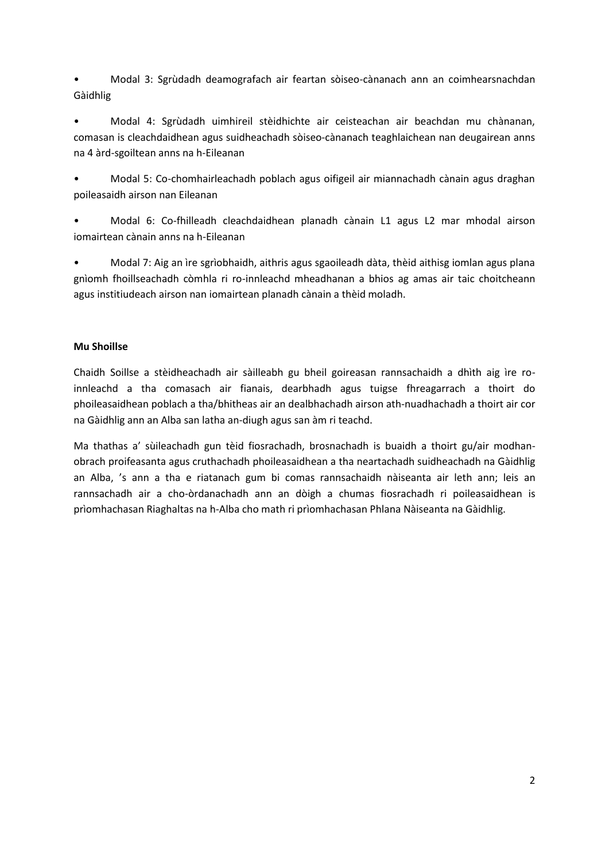• Modal 3: Sgrùdadh deamografach air feartan sòiseo-cànanach ann an coimhearsnachdan Gàidhlig

• Modal 4: Sgrùdadh uimhireil stèidhichte air ceisteachan air beachdan mu chànanan, comasan is cleachdaidhean agus suidheachadh sòiseo-cànanach teaghlaichean nan deugairean anns na 4 àrd-sgoiltean anns na h-Eileanan

• Modal 5: Co-chomhairleachadh poblach agus oifigeil air miannachadh cànain agus draghan poileasaidh airson nan Eileanan

• Modal 6: Co-fhilleadh cleachdaidhean planadh cànain L1 agus L2 mar mhodal airson iomairtean cànain anns na h-Eileanan

• Modal 7: Aig an ìre sgrìobhaidh, aithris agus sgaoileadh dàta, thèid aithisg iomlan agus plana gnìomh fhoillseachadh còmhla ri ro-innleachd mheadhanan a bhios ag amas air taic choitcheann agus institiudeach airson nan iomairtean planadh cànain a thèid moladh.

# **Mu Shoillse**

Chaidh Soillse a stèidheachadh air sàilleabh gu bheil goireasan rannsachaidh a dhìth aig ìre roinnleachd a tha comasach air fianais, dearbhadh agus tuigse fhreagarrach a thoirt do phoileasaidhean poblach a tha/bhitheas air an dealbhachadh airson ath-nuadhachadh a thoirt air cor na Gàidhlig ann an Alba san latha an-diugh agus san àm ri teachd.

Ma thathas a' sùileachadh gun tèid fiosrachadh, brosnachadh is buaidh a thoirt gu/air modhanobrach proifeasanta agus cruthachadh phoileasaidhean a tha neartachadh suidheachadh na Gàidhlig an Alba, 's ann a tha e riatanach gum bi comas rannsachaidh nàiseanta air leth ann; leis an rannsachadh air a cho-òrdanachadh ann an dòigh a chumas fiosrachadh ri poileasaidhean is prìomhachasan Riaghaltas na h-Alba cho math ri prìomhachasan Phlana Nàiseanta na Gàidhlig.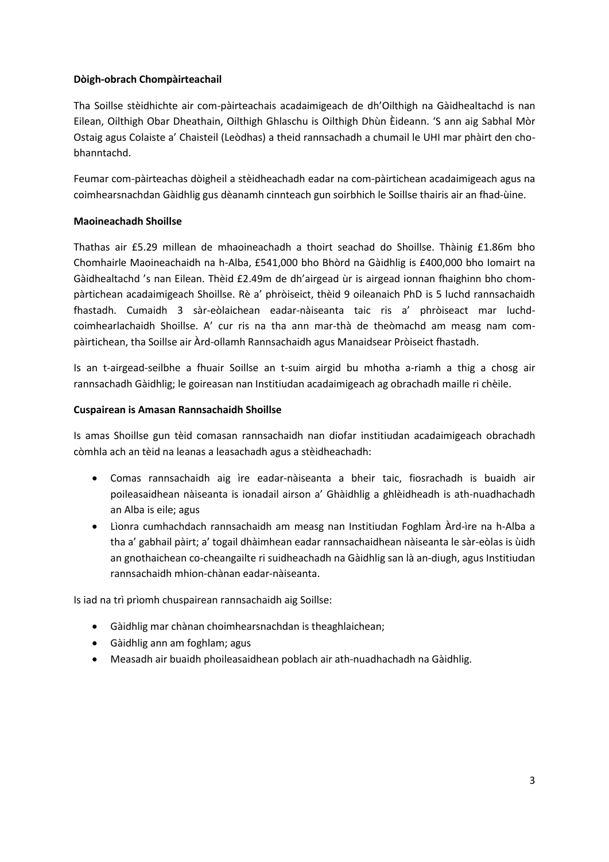## **Dòigh-obrach Chompàirteachail**

Tha Soillse stèidhichte air com-pàirteachais acadaimigeach de dh'Oilthigh na Gàidhealtachd is nan Eilean, Oilthigh Obar Dheathain, Oilthigh Ghlaschu is Oilthigh Dhùn Èideann. 'S ann aig Sabhal Mòr Ostaig agus Colaiste a' Chaisteil (Leòdhas) a theid rannsachadh a chumail le UHI mar phàirt den chobhanntachd.

Feumar com-pàirteachas dòigheil a stèidheachadh eadar na com-pàirtichean acadaimigeach agus na coimhearsnachdan Gàidhlig gus dèanamh cinnteach gun soirbhich le Soillse thairis air an fhad-ùine.

## **Maoineachadh Shoillse**

Thathas air £5.29 millean de mhaoineachadh a thoirt seachad do Shoillse. Thàinig £1.86m bho Chomhairle Maoineachaidh na h-Alba, £541,000 bho Bhòrd na Gàidhlig is £400,000 bho Iomairt na Gàidhealtachd 's nan Eilean. Thèid £2.49m de dh'airgead ùr is airgead ionnan fhaighinn bho chompàrtichean acadaimigeach Shoillse. Rè a' phròiseict, thèid 9 oileanaich PhD is 5 luchd rannsachaidh fhastadh. Cumaidh 3 sàr-eòlaichean eadar-nàiseanta taic ris a' phròiseact mar luchdcoimhearlachaidh Shoillse. A' cur ris na tha ann mar-thà de theòmachd am measg nam compàirtichean, tha Soillse air Àrd-ollamh Rannsachaidh agus Manaidsear Pròiseict fhastadh.

Is an t-airgead-seilbhe a fhuair Soillse an t-suim airgid bu mhotha a-riamh a thig a chosg air rannsachadh Gàidhlig; le goireasan nan Institiudan acadaimigeach ag obrachadh maille ri chèile.

## **Cuspairean is Amasan Rannsachaidh Shoillse**

Is amas Shoillse gun tèid comasan rannsachaidh nan diofar institiudan acadaimigeach obrachadh còmhla ach an tèid na leanas a leasachadh agus a stèidheachadh:

- Comas rannsachaidh aig ìre eadar-nàiseanta a bheir taic, fiosrachadh is buaidh air poileasaidhean nàiseanta is ionadail airson a' Ghàidhlig a ghlèidheadh is ath-nuadhachadh an Alba is eile; agus
- Lìonra cumhachdach rannsachaidh am measg nan Institiudan Foghlam Àrd-ìre na h-Alba a tha a' gabhail pàirt; a' togail dhàimhean eadar rannsachaidhean nàiseanta le sàr-eòlas is ùidh an gnothaichean co-cheangailte ri suidheachadh na Gàidhlig san là an-diugh, agus Institiudan rannsachaidh mhion-chànan eadar-nàiseanta.

Is iad na trì prìomh chuspairean rannsachaidh aig Soillse:

- Gàidhlig mar chànan choimhearsnachdan is theaghlaichean;
- Gàidhlig ann am foghlam; agus
- Measadh air buaidh phoileasaidhean poblach air ath-nuadhachadh na Gàidhlig.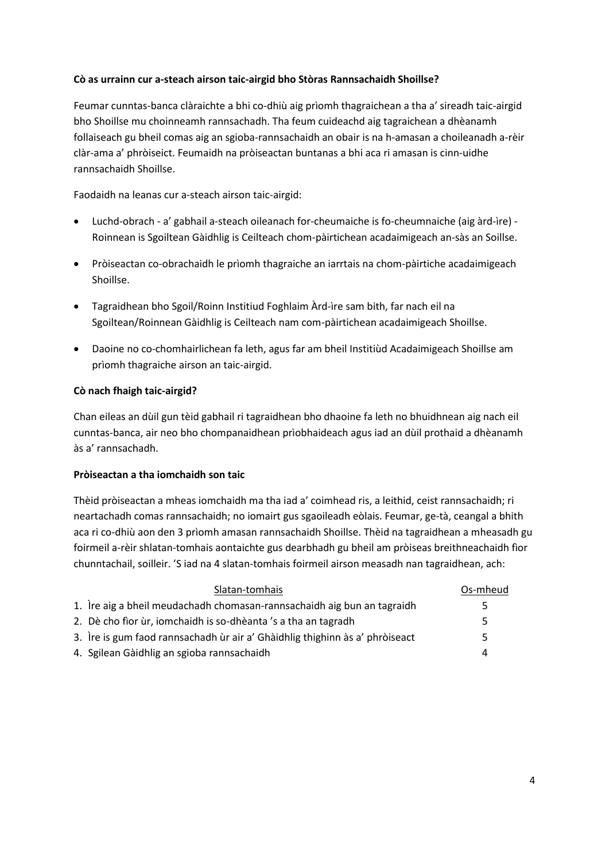## **Cò as urrainn cur a-steach airson taic-airgid bho Stòras Rannsachaidh Shoillse?**

Feumar cunntas-banca clàraichte a bhi co-dhiù aig prìomh thagraichean a tha a' sireadh taic-airgid bho Shoillse mu choinneamh rannsachadh. Tha feum cuideachd aig tagraichean a dhèanamh follaiseach gu bheil comas aig an sgioba-rannsachaidh an obair is na h-amasan a choileanadh a-rèir clàr-ama a' phròiseict. Feumaidh na pròiseactan buntanas a bhi aca ri amasan is cinn-uidhe rannsachaidh Shoillse.

Faodaidh na leanas cur a-steach airson taic-airgid:

- Luchd-obrach a' gabhail a-steach oileanach for-cheumaiche is fo-cheumnaiche (aig àrd-ìre) Roinnean is Sgoiltean Gàidhlig is Ceilteach chom-pàirtichean acadaimigeach an-sàs an Soillse.
- Pròiseactan co-obrachaidh le prìomh thagraiche an iarrtais na chom-pàirtiche acadaimigeach Shoillse.
- Tagraidhean bho Sgoil/Roinn Institiud Foghlaim Àrd-ìre sam bith, far nach eil na Sgoiltean/Roinnean Gàidhlig is Ceilteach nam com-pàirtichean acadaimigeach Shoillse.
- Daoine no co-chomhairlichean fa leth, agus far am bheil Institiùd Acadaimigeach Shoillse am prìomh thagraiche airson an taic-airgid.

### **Cò nach fhaigh taic-airgid?**

Chan eileas an dùil gun tèid gabhail ri tagraidhean bho dhaoine fa leth no bhuidhnean aig nach eil cunntas-banca, air neo bho chompanaidhean prìobhaideach agus iad an dùil prothaid a dhèanamh às a' rannsachadh.

### **Pròiseactan a tha iomchaidh son taic**

Thèid pròiseactan a mheas iomchaidh ma tha iad a' coimhead ris, a leithid, ceist rannsachaidh; ri neartachadh comas rannsachaidh; no iomairt gus sgaoileadh eòlais. Feumar, ge-tà, ceangal a bhith aca ri co-dhiù aon den 3 prìomh amasan rannsachaidh Shoillse. Thèid na tagraidhean a mheasadh gu foirmeil a-rèir shlatan-tomhais aontaichte gus dearbhadh gu bheil am pròiseas breithneachaidh fìor chunntachail, soilleir. 'S iad na 4 slatan-tomhais foirmeil airson measadh nan tagraidhean, ach:

| Slatan-tomhais                                                               | Os-mheud |
|------------------------------------------------------------------------------|----------|
| 1. Ire aig a bheil meudachadh chomasan-rannsachaidh aig bun an tagraidh      | 5        |
| 2. Dè cho fìor ùr, iomchaidh is so-dhèanta 's a tha an tagradh               | 5        |
| 3. Ire is gum faod rannsachadh ùr air a' Ghàidhlig thighinn às a' phròiseact | 5        |
| 4. Sgilean Gàidhlig an sgioba rannsachaidh                                   | 4        |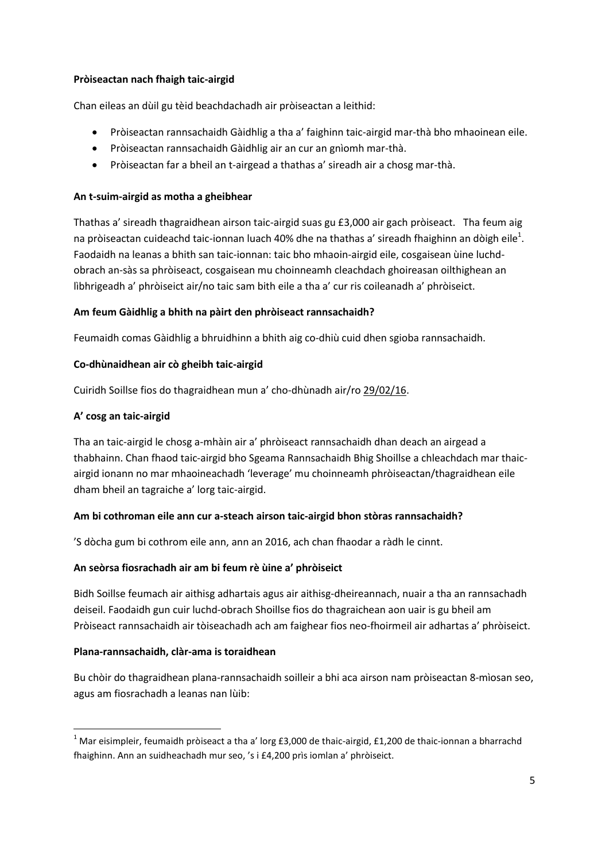## **Pròiseactan nach fhaigh taic-airgid**

Chan eileas an dùil gu tèid beachdachadh air pròiseactan a leithid:

- Pròiseactan rannsachaidh Gàidhlig a tha a' faighinn taic-airgid mar-thà bho mhaoinean eile.
- Pròiseactan rannsachaidh Gàidhlig air an cur an gnìomh mar-thà.
- Pròiseactan far a bheil an t-airgead a thathas a' sireadh air a chosg mar-thà.

## **An t-suim-airgid as motha a gheibhear**

Thathas a' sireadh thagraidhean airson taic-airgid suas gu £3,000 air gach pròiseact. Tha feum aig na pròiseactan cuideachd taic-ionnan luach 40% dhe na thathas a' sireadh fhaighinn an dòigh eile<sup>1</sup>. Faodaidh na leanas a bhith san taic-ionnan: taic bho mhaoin-airgid eile, cosgaisean ùine luchdobrach an-sàs sa phròiseact, cosgaisean mu choinneamh cleachdach ghoireasan oilthighean an lìbhrigeadh a' phròiseict air/no taic sam bith eile a tha a' cur ris coileanadh a' phròiseict.

## **Am feum Gàidhlig a bhith na pàirt den phròiseact rannsachaidh?**

Feumaidh comas Gàidhlig a bhruidhinn a bhith aig co-dhiù cuid dhen sgioba rannsachaidh.

## **Co-dhùnaidhean air cò gheibh taic-airgid**

Cuiridh Soillse fios do thagraidhean mun a' cho-dhùnadh air/ro 29/02/16.

## **A' cosg an taic-airgid**

 $\overline{a}$ 

Tha an taic-airgid le chosg a-mhàin air a' phròiseact rannsachaidh dhan deach an airgead a thabhainn. Chan fhaod taic-airgid bho Sgeama Rannsachaidh Bhig Shoillse a chleachdach mar thaicairgid ionann no mar mhaoineachadh 'leverage' mu choinneamh phròiseactan/thagraidhean eile dham bheil an tagraiche a' lorg taic-airgid.

# **Am bi cothroman eile ann cur a-steach airson taic-airgid bhon stòras rannsachaidh?**

'S dòcha gum bi cothrom eile ann, ann an 2016, ach chan fhaodar a ràdh le cinnt.

### **An seòrsa fiosrachadh air am bi feum rè ùine a' phròiseict**

Bidh Soillse feumach air aithisg adhartais agus air aithisg-dheireannach, nuair a tha an rannsachadh deiseil. Faodaidh gun cuir luchd-obrach Shoillse fios do thagraichean aon uair is gu bheil am Pròiseact rannsachaidh air tòiseachadh ach am faighear fios neo-fhoirmeil air adhartas a' phròiseict.

### **Plana-rannsachaidh, clàr-ama is toraidhean**

Bu chòir do thagraidhean plana-rannsachaidh soilleir a bhi aca airson nam pròiseactan 8-mìosan seo, agus am fiosrachadh a leanas nan lùib:

<sup>&</sup>lt;sup>1</sup> Mar eisimpleir, feumaidh pròiseact a tha a' lorg £3,000 de thaic-airgid, £1,200 de thaic-ionnan a bharrachd fhaighinn. Ann an suidheachadh mur seo, 's i £4,200 prìs iomlan a' phròiseict.